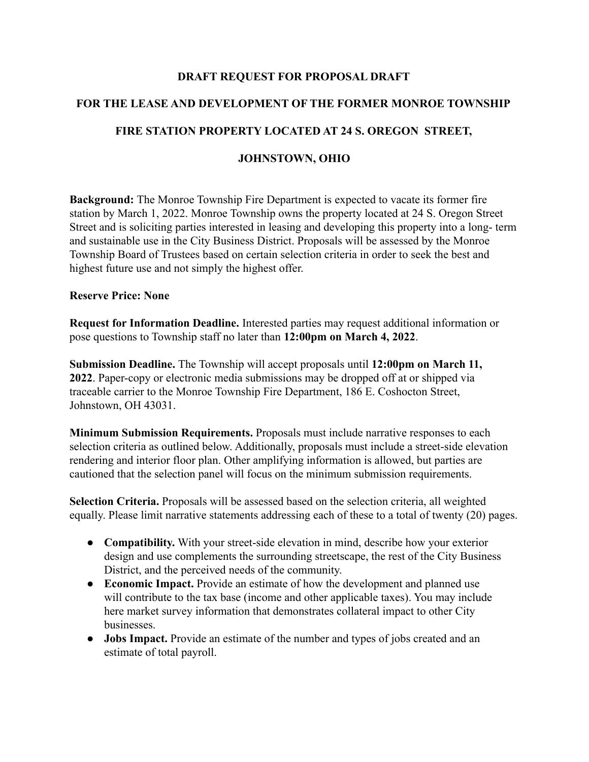#### **DRAFT REQUEST FOR PROPOSAL DRAFT**

# **FOR THE LEASE AND DEVELOPMENT OF THE FORMER MONROE TOWNSHIP**

### **FIRE STATION PROPERTY LOCATED AT 24 S. OREGON STREET,**

## **JOHNSTOWN, OHIO**

**Background:** The Monroe Township Fire Department is expected to vacate its former fire station by March 1, 2022. Monroe Township owns the property located at 24 S. Oregon Street Street and is soliciting parties interested in leasing and developing this property into a long- term and sustainable use in the City Business District. Proposals will be assessed by the Monroe Township Board of Trustees based on certain selection criteria in order to seek the best and highest future use and not simply the highest offer.

#### **Reserve Price: None**

**Request for Information Deadline.** Interested parties may request additional information or pose questions to Township staff no later than **12:00pm on March 4, 2022**.

**Submission Deadline.** The Township will accept proposals until **12:00pm on March 11, 2022**. Paper-copy or electronic media submissions may be dropped off at or shipped via traceable carrier to the Monroe Township Fire Department, 186 E. Coshocton Street, Johnstown, OH 43031.

**Minimum Submission Requirements.** Proposals must include narrative responses to each selection criteria as outlined below. Additionally, proposals must include a street-side elevation rendering and interior floor plan. Other amplifying information is allowed, but parties are cautioned that the selection panel will focus on the minimum submission requirements.

**Selection Criteria.** Proposals will be assessed based on the selection criteria, all weighted equally. Please limit narrative statements addressing each of these to a total of twenty (20) pages.

- **Compatibility.** With your street-side elevation in mind, describe how your exterior design and use complements the surrounding streetscape, the rest of the City Business District, and the perceived needs of the community.
- **Economic Impact.** Provide an estimate of how the development and planned use will contribute to the tax base (income and other applicable taxes). You may include here market survey information that demonstrates collateral impact to other City businesses.
- **Jobs Impact.** Provide an estimate of the number and types of jobs created and an estimate of total payroll.